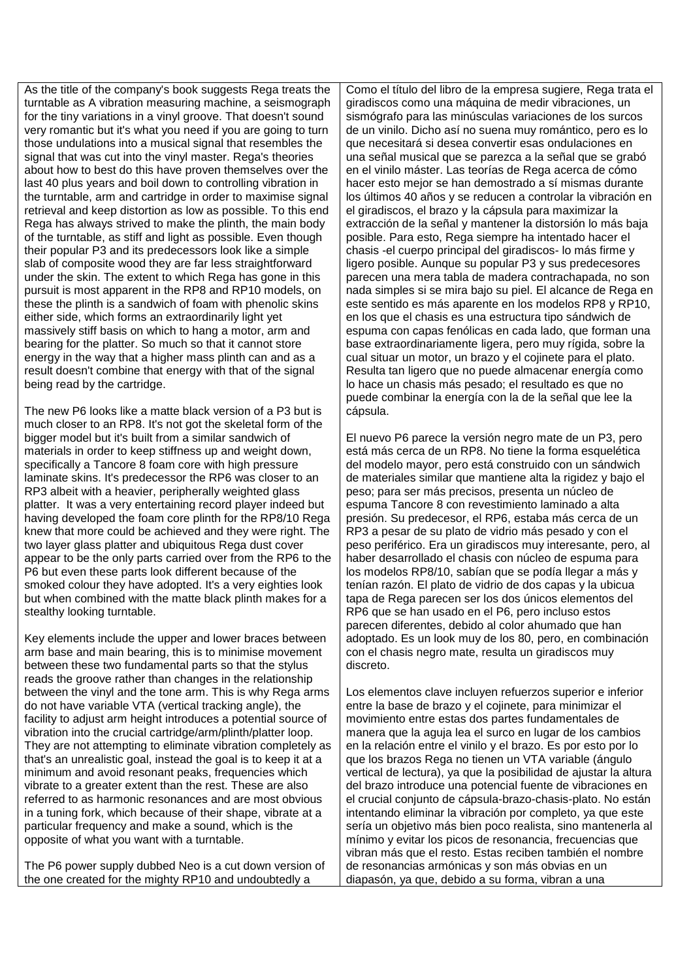As the title of the company's book suggests Rega treats the turntable as A vibration measuring machine, a seismograph for the tiny variations in a vinyl groove. That doesn't sound very romantic but it's what you need if you are going to turn those undulations into a musical signal that resembles the signal that was cut into the vinyl master. Rega's theories about how to best do this have proven themselves over the last 40 plus years and boil down to controlling vibration in the turntable, arm and cartridge in order to maximise signal retrieval and keep distortion as low as possible. To this end Rega has always strived to make the plinth, the main body of the turntable, as stiff and light as possible. Even though their popular P3 and its predecessors look like a simple slab of composite wood they are far less straightforward under the skin. The extent to which Rega has gone in this pursuit is most apparent in the RP8 and RP10 models, on these the plinth is a sandwich of foam with phenolic skins either side, which forms an extraordinarily light yet massively stiff basis on which to hang a motor, arm and bearing for the platter. So much so that it cannot store energy in the way that a higher mass plinth can and as a result doesn't combine that energy with that of the signal being read by the cartridge.

The new P6 looks like a matte black version of a P3 but is much closer to an RP8. It's not got the skeletal form of the bigger model but it's built from a similar sandwich of materials in order to keep stiffness up and weight down, specifically a Tancore 8 foam core with high pressure laminate skins. It's predecessor the RP6 was closer to an RP3 albeit with a heavier, peripherally weighted glass platter. It was a very entertaining record player indeed but having developed the foam core plinth for the RP8/10 Rega knew that more could be achieved and they were right. The two layer glass platter and ubiquitous Rega dust cover appear to be the only parts carried over from the RP6 to the P6 but even these parts look different because of the smoked colour they have adopted. It's a very eighties look but when combined with the matte black plinth makes for a stealthy looking turntable.

Key elements include the upper and lower braces between arm base and main bearing, this is to minimise movement between these two fundamental parts so that the stylus reads the groove rather than changes in the relationship between the vinyl and the tone arm. This is why Rega arms do not have variable VTA (vertical tracking angle), the facility to adjust arm height introduces a potential source of vibration into the crucial cartridge/arm/plinth/platter loop. They are not attempting to eliminate vibration completely as that's an unrealistic goal, instead the goal is to keep it at a minimum and avoid resonant peaks, frequencies which vibrate to a greater extent than the rest. These are also referred to as harmonic resonances and are most obvious in a tuning fork, which because of their shape, vibrate at a particular frequency and make a sound, which is the opposite of what you want with a turntable.

The P6 power supply dubbed Neo is a cut down version of the one created for the mighty RP10 and undoubtedly a

Como el título del libro de la empresa sugiere, Rega trata el giradiscos como una máquina de medir vibraciones, un sismógrafo para las minúsculas variaciones de los surcos de un vinilo. Dicho así no suena muy romántico, pero es lo que necesitará si desea convertir esas ondulaciones en una señal musical que se parezca a la señal que se grabó en el vinilo máster. Las teorías de Rega acerca de cómo hacer esto mejor se han demostrado a sí mismas durante los últimos 40 años y se reducen a controlar la vibración en el giradiscos, el brazo y la cápsula para maximizar la extracción de la señal y mantener la distorsión lo más baja posible. Para esto, Rega siempre ha intentado hacer el chasis -el cuerpo principal del giradiscos- lo más firme y ligero posible. Aunque su popular P3 y sus predecesores parecen una mera tabla de madera contrachapada, no son nada simples si se mira bajo su piel. El alcance de Rega en este sentido es más aparente en los modelos RP8 y RP10, en los que el chasis es una estructura tipo sándwich de espuma con capas fenólicas en cada lado, que forman una base extraordinariamente ligera, pero muy rígida, sobre la cual situar un motor, un brazo y el cojinete para el plato. Resulta tan ligero que no puede almacenar energía como lo hace un chasis más pesado; el resultado es que no puede combinar la energía con la de la señal que lee la cápsula.

El nuevo P6 parece la versión negro mate de un P3, pero está más cerca de un RP8. No tiene la forma esquelética del modelo mayor, pero está construido con un sándwich de materiales similar que mantiene alta la rigidez y bajo el peso; para ser más precisos, presenta un núcleo de espuma Tancore 8 con revestimiento laminado a alta presión. Su predecesor, el RP6, estaba más cerca de un RP3 a pesar de su plato de vidrio más pesado y con el peso periférico. Era un giradiscos muy interesante, pero, al haber desarrollado el chasis con núcleo de espuma para los modelos RP8/10, sabían que se podía llegar a más y tenían razón. El plato de vidrio de dos capas y la ubicua tapa de Rega parecen ser los dos únicos elementos del RP6 que se han usado en el P6, pero incluso estos parecen diferentes, debido al color ahumado que han adoptado. Es un look muy de los 80, pero, en combinación con el chasis negro mate, resulta un giradiscos muy discreto.

Los elementos clave incluyen refuerzos superior e inferior entre la base de brazo y el cojinete, para minimizar el movimiento entre estas dos partes fundamentales de manera que la aguja lea el surco en lugar de los cambios en la relación entre el vinilo y el brazo. Es por esto por lo que los brazos Rega no tienen un VTA variable (ángulo vertical de lectura), ya que la posibilidad de ajustar la altura del brazo introduce una potencial fuente de vibraciones en el crucial conjunto de cápsula-brazo-chasis-plato. No están intentando eliminar la vibración por completo, ya que este sería un objetivo más bien poco realista, sino mantenerla al mínimo y evitar los picos de resonancia, frecuencias que vibran más que el resto. Estas reciben también el nombre de resonancias armónicas y son más obvias en un diapasón, ya que, debido a su forma, vibran a una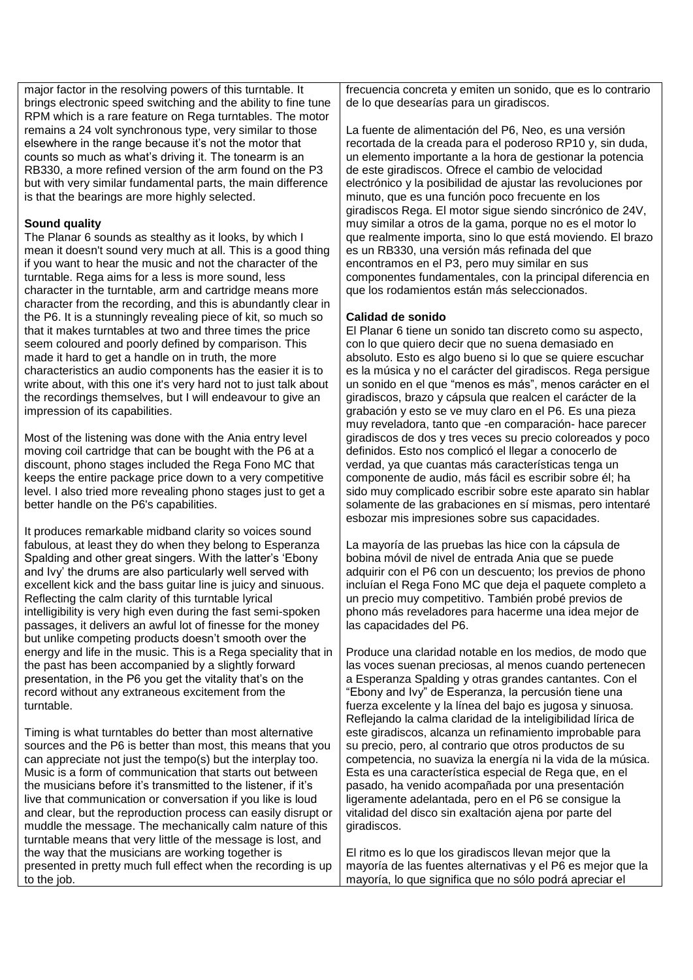major factor in the resolving powers of this turntable. It brings electronic speed switching and the ability to fine tune RPM which is a rare feature on Rega turntables. The motor remains a 24 volt synchronous type, very similar to those elsewhere in the range because it's not the motor that counts so much as what's driving it. The tonearm is an RB330, a more refined version of the arm found on the P3 but with very similar fundamental parts, the main difference is that the bearings are more highly selected.

## **Sound quality**

The Planar 6 sounds as stealthy as it looks, by which I mean it doesn't sound very much at all. This is a good thing if you want to hear the music and not the character of the turntable. Rega aims for a less is more sound, less character in the turntable, arm and cartridge means more character from the recording, and this is abundantly clear in the P6. It is a stunningly revealing piece of kit, so much so that it makes turntables at two and three times the price seem coloured and poorly defined by comparison. This made it hard to get a handle on in truth, the more characteristics an audio components has the easier it is to write about, with this one it's very hard not to just talk about the recordings themselves, but I will endeavour to give an impression of its capabilities.

Most of the listening was done with the Ania entry level moving coil cartridge that can be bought with the P6 at a discount, phono stages included the Rega Fono MC that keeps the entire package price down to a very competitive level. I also tried more revealing phono stages just to get a better handle on the P6's capabilities.

It produces remarkable midband clarity so voices sound fabulous, at least they do when they belong to Esperanza Spalding and other great singers. With the latter's 'Ebony and Ivy' the drums are also particularly well served with excellent kick and the bass guitar line is juicy and sinuous. Reflecting the calm clarity of this turntable lyrical intelligibility is very high even during the fast semi-spoken passages, it delivers an awful lot of finesse for the money but unlike competing products doesn't smooth over the energy and life in the music. This is a Rega speciality that in the past has been accompanied by a slightly forward presentation, in the P6 you get the vitality that's on the record without any extraneous excitement from the turntable.

Timing is what turntables do better than most alternative sources and the P6 is better than most, this means that you can appreciate not just the tempo(s) but the interplay too. Music is a form of communication that starts out between the musicians before it's transmitted to the listener, if it's live that communication or conversation if you like is loud and clear, but the reproduction process can easily disrupt or muddle the message. The mechanically calm nature of this turntable means that very little of the message is lost, and the way that the musicians are working together is presented in pretty much full effect when the recording is up to the job.

frecuencia concreta y emiten un sonido, que es lo contrario de lo que desearías para un giradiscos.

La fuente de alimentación del P6, Neo, es una versión recortada de la creada para el poderoso RP10 y, sin duda, un elemento importante a la hora de gestionar la potencia de este giradiscos. Ofrece el cambio de velocidad electrónico y la posibilidad de ajustar las revoluciones por minuto, que es una función poco frecuente en los giradiscos Rega. El motor sigue siendo sincrónico de 24V, muy similar a otros de la gama, porque no es el motor lo que realmente importa, sino lo que está moviendo. El brazo es un RB330, una versión más refinada del que encontramos en el P3, pero muy similar en sus componentes fundamentales, con la principal diferencia en que los rodamientos están más seleccionados.

## **Calidad de sonido**

El Planar 6 tiene un sonido tan discreto como su aspecto, con lo que quiero decir que no suena demasiado en absoluto. Esto es algo bueno si lo que se quiere escuchar es la música y no el carácter del giradiscos. Rega persigue un sonido en el que "menos es más", menos carácter en el giradiscos, brazo y cápsula que realcen el carácter de la grabación y esto se ve muy claro en el P6. Es una pieza muy reveladora, tanto que -en comparación- hace parecer giradiscos de dos y tres veces su precio coloreados y poco definidos. Esto nos complicó el llegar a conocerlo de verdad, ya que cuantas más características tenga un componente de audio, más fácil es escribir sobre él; ha sido muy complicado escribir sobre este aparato sin hablar solamente de las grabaciones en sí mismas, pero intentaré esbozar mis impresiones sobre sus capacidades.

La mayoría de las pruebas las hice con la cápsula de bobina móvil de nivel de entrada Ania que se puede adquirir con el P6 con un descuento; los previos de phono incluían el Rega Fono MC que deja el paquete completo a un precio muy competitivo. También probé previos de phono más reveladores para hacerme una idea mejor de las capacidades del P6.

Produce una claridad notable en los medios, de modo que las voces suenan preciosas, al menos cuando pertenecen a Esperanza Spalding y otras grandes cantantes. Con el "Ebony and Ivy" de Esperanza, la percusión tiene una fuerza excelente y la línea del bajo es jugosa y sinuosa. Reflejando la calma claridad de la inteligibilidad lírica de este giradiscos, alcanza un refinamiento improbable para su precio, pero, al contrario que otros productos de su competencia, no suaviza la energía ni la vida de la música. Esta es una característica especial de Rega que, en el pasado, ha venido acompañada por una presentación ligeramente adelantada, pero en el P6 se consigue la vitalidad del disco sin exaltación ajena por parte del giradiscos.

El ritmo es lo que los giradiscos llevan mejor que la mayoría de las fuentes alternativas y el P6 es mejor que la mayoría, lo que significa que no sólo podrá apreciar el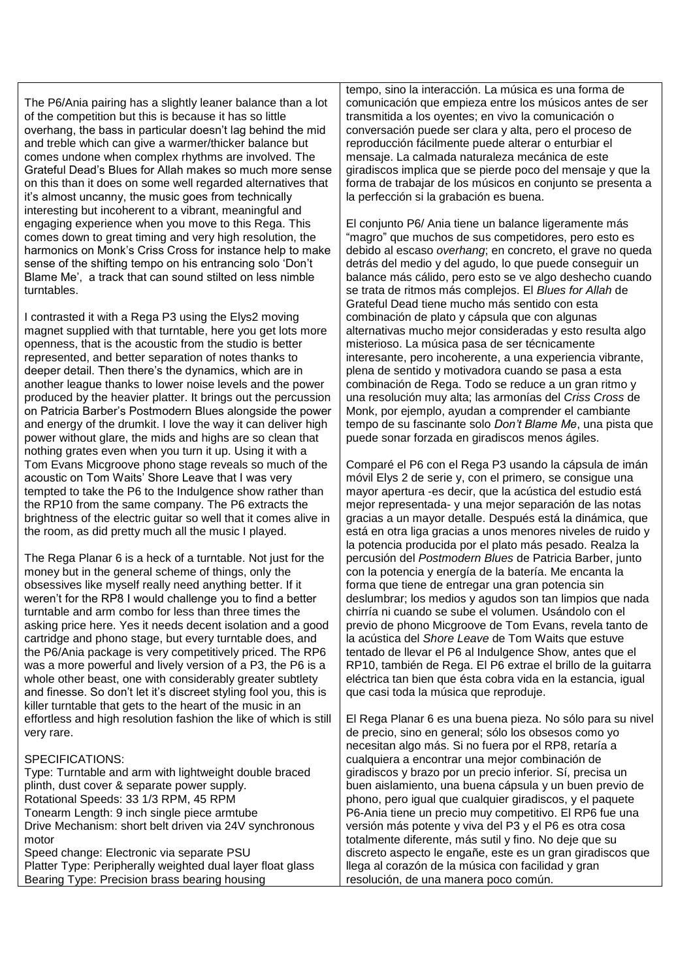The P6/Ania pairing has a slightly leaner balance than a lot of the competition but this is because it has so little overhang, the bass in particular doesn't lag behind the mid and treble which can give a warmer/thicker balance but comes undone when complex rhythms are involved. The Grateful Dead's Blues for Allah makes so much more sense on this than it does on some well regarded alternatives that it's almost uncanny, the music goes from technically interesting but incoherent to a vibrant, meaningful and engaging experience when you move to this Rega. This comes down to great timing and very high resolution, the harmonics on Monk's Criss Cross for instance help to make sense of the shifting tempo on his entrancing solo 'Don't Blame Me', a track that can sound stilted on less nimble turntables.

I contrasted it with a Rega P3 using the Elys2 moving magnet supplied with that turntable, here you get lots more openness, that is the acoustic from the studio is better represented, and better separation of notes thanks to deeper detail. Then there's the dynamics, which are in another league thanks to lower noise levels and the power produced by the heavier platter. It brings out the percussion on Patricia Barber's Postmodern Blues alongside the power and energy of the drumkit. I love the way it can deliver high power without glare, the mids and highs are so clean that nothing grates even when you turn it up. Using it with a Tom Evans Micgroove phono stage reveals so much of the acoustic on Tom Waits' Shore Leave that I was very tempted to take the P6 to the Indulgence show rather than the RP10 from the same company. The P6 extracts the brightness of the electric guitar so well that it comes alive in the room, as did pretty much all the music I played.

The Rega Planar 6 is a heck of a turntable. Not just for the money but in the general scheme of things, only the obsessives like myself really need anything better. If it weren't for the RP8 I would challenge you to find a better turntable and arm combo for less than three times the asking price here. Yes it needs decent isolation and a good cartridge and phono stage, but every turntable does, and the P6/Ania package is very competitively priced. The RP6 was a more powerful and lively version of a P3, the P6 is a whole other beast, one with considerably greater subtlety and finesse. So don't let it's discreet styling fool you, this is killer turntable that gets to the heart of the music in an effortless and high resolution fashion the like of which is still very rare.

## SPECIFICATIONS:

Type: Turntable and arm with lightweight double braced plinth, dust cover & separate power supply. Rotational Speeds: 33 1/3 RPM, 45 RPM Tonearm Length: 9 inch single piece armtube Drive Mechanism: short belt driven via 24V synchronous motor Speed change: Electronic via separate PSU Platter Type: Peripherally weighted dual layer float glass Bearing Type: Precision brass bearing housing

tempo, sino la interacción. La música es una forma de comunicación que empieza entre los músicos antes de ser transmitida a los oyentes; en vivo la comunicación o conversación puede ser clara y alta, pero el proceso de reproducción fácilmente puede alterar o enturbiar el mensaje. La calmada naturaleza mecánica de este giradiscos implica que se pierde poco del mensaje y que la forma de trabajar de los músicos en conjunto se presenta a la perfección si la grabación es buena.

El conjunto P6/ Ania tiene un balance ligeramente más "magro" que muchos de sus competidores, pero esto es debido al escaso *overhang*; en concreto, el grave no queda detrás del medio y del agudo, lo que puede conseguir un balance más cálido, pero esto se ve algo deshecho cuando se trata de ritmos más complejos. El *Blues for Allah* de Grateful Dead tiene mucho más sentido con esta combinación de plato y cápsula que con algunas alternativas mucho mejor consideradas y esto resulta algo misterioso. La música pasa de ser técnicamente interesante, pero incoherente, a una experiencia vibrante, plena de sentido y motivadora cuando se pasa a esta combinación de Rega. Todo se reduce a un gran ritmo y una resolución muy alta; las armonías del *Criss Cross* de Monk, por ejemplo, ayudan a comprender el cambiante tempo de su fascinante solo *Don't Blame Me*, una pista que puede sonar forzada en giradiscos menos ágiles.

Comparé el P6 con el Rega P3 usando la cápsula de imán móvil Elys 2 de serie y, con el primero, se consigue una mayor apertura -es decir, que la acústica del estudio está mejor representada- y una mejor separación de las notas gracias a un mayor detalle. Después está la dinámica, que está en otra liga gracias a unos menores niveles de ruido y la potencia producida por el plato más pesado. Realza la percusión del *Postmodern Blues* de Patricia Barber, junto con la potencia y energía de la batería. Me encanta la forma que tiene de entregar una gran potencia sin deslumbrar; los medios y agudos son tan limpios que nada chirría ni cuando se sube el volumen. Usándolo con el previo de phono Micgroove de Tom Evans, revela tanto de la acústica del *Shore Leave* de Tom Waits que estuve tentado de llevar el P6 al Indulgence Show, antes que el RP10, también de Rega. El P6 extrae el brillo de la guitarra eléctrica tan bien que ésta cobra vida en la estancia, igual que casi toda la música que reproduje.

El Rega Planar 6 es una buena pieza. No sólo para su nivel de precio, sino en general; sólo los obsesos como yo necesitan algo más. Si no fuera por el RP8, retaría a cualquiera a encontrar una mejor combinación de giradiscos y brazo por un precio inferior. Sí, precisa un buen aislamiento, una buena cápsula y un buen previo de phono, pero igual que cualquier giradiscos, y el paquete P6-Ania tiene un precio muy competitivo. El RP6 fue una versión más potente y viva del P3 y el P6 es otra cosa totalmente diferente, más sutil y fino. No deje que su discreto aspecto le engañe, este es un gran giradiscos que llega al corazón de la música con facilidad y gran resolución, de una manera poco común.